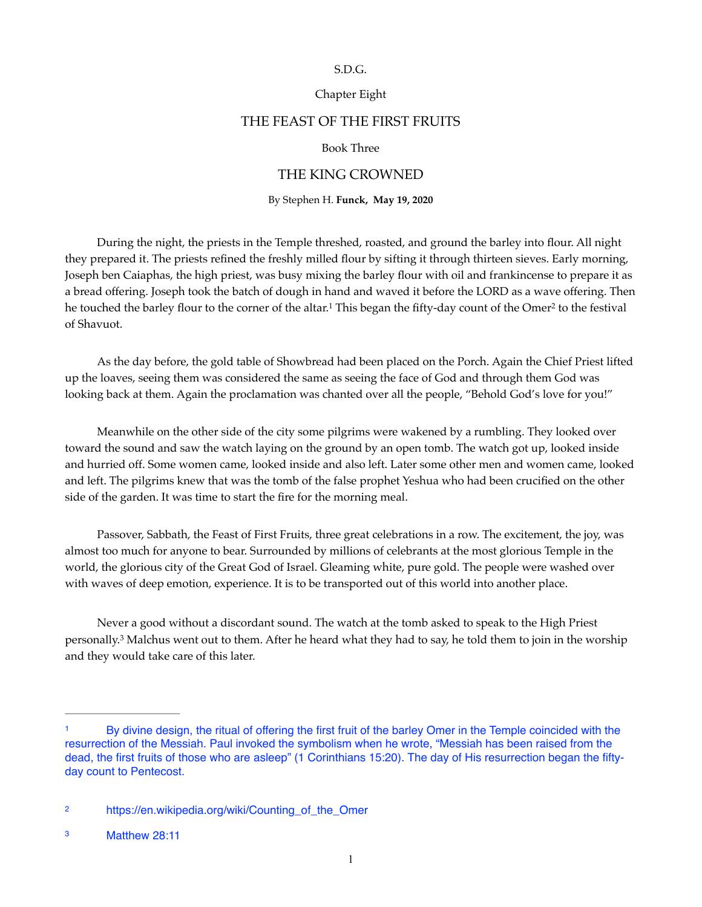#### S.D.G.

## Chapter Eight

# THE FEAST OF THE FIRST FRUITS

## <span id="page-0-4"></span>Book Three

## THE KING CROWNED

<span id="page-0-3"></span>By Stephen H. **Funck, May 19, 2020** 

During the night, the priests in the Temple threshed, roasted, and ground the barley into flour. All night they prepared it. The priests refined the freshly milled flour by sifting it through thirteen sieves. Early morning, Joseph ben Caiaphas, the high priest, was busy mixing the barley flour with oil and frankincense to prepare it as a bread offering. Joseph took the batch of dough in hand and waved it before the LORD as a wave offering. Then he touched the barley flou[r](#page-0-1) to the corner of the altar.<sup>[1](#page-0-0)</sup> This began the fifty-day count of the Omer<sup>2</sup> to the festival of Shavuot.

As the day before, the gold table of Showbread had been placed on the Porch. Again the Chief Priest lifted up the loaves, seeing them was considered the same as seeing the face of God and through them God was looking back at them. Again the proclamation was chanted over all the people, "Behold God's love for you!"

Meanwhile on the other side of the city some pilgrims were wakened by a rumbling. They looked over toward the sound and saw the watch laying on the ground by an open tomb. The watch got up, looked inside and hurried off. Some women came, looked inside and also left. Later some other men and women came, looked and left. The pilgrims knew that was the tomb of the false prophet Yeshua who had been crucified on the other side of the garden. It was time to start the fire for the morning meal.

Passover, Sabbath, the Feast of First Fruits, three great celebrations in a row. The excitement, the joy, was almost too much for anyone to bear. Surrounded by millions of celebrants at the most glorious Temple in the world, the glorious city of the Great God of Israel. Gleaming white, pure gold. The people were washed over with waves of deep emotion, experience. It is to be transported out of this world into another place.

<span id="page-0-5"></span>Never a good without a discordant sound. The watch at the tomb asked to speak to the High Priest personally.<sup>[3](#page-0-2)</sup> Malchus went out to them. After he heard what they had to say, he told them to join in the worship and they would take care of this later.

<span id="page-0-0"></span>By divine design, the ritual of offering the first fruit of the barley Omer in the Temple coincided with the [1](#page-0-3) resurrection of the Messiah. Paul invoked the symbolism when he wrote, "Messiah has been raised from the dead, the first fruits of those who are asleep" (1 Corinthians 15:20). The day of His resurrection began the fiftyday count to Pentecost.

<span id="page-0-1"></span>[https://en.wikipedia.org/wiki/Counting\\_of\\_the\\_Omer](https://en.wikipedia.org/wiki/Counting_of_the_Omer) [2](#page-0-4)

<span id="page-0-2"></span>Matthew 28:11 [3](#page-0-5)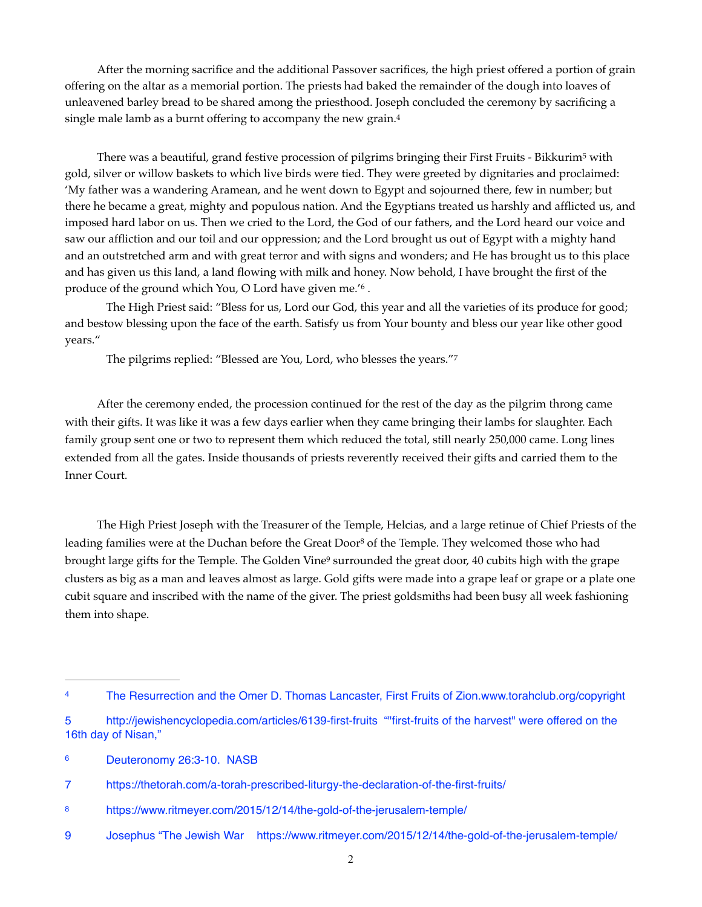After the morning sacrifice and the additional Passover sacrifices, the high priest offered a portion of grain offering on the altar as a memorial portion. The priests had baked the remainder of the dough into loaves of unleavened barley bread to be shared among the priesthood. Joseph concluded the ceremony by sacrificing a single male lamb as a burnt offering to accompany the new grain.[4](#page-1-0)

<span id="page-1-7"></span><span id="page-1-6"></span>There was a beautiful, grand festive procession of pilgrims bringing their First Fruits - Bikkurim<sup>[5](#page-1-1)</sup> with gold, silver or willow baskets to which live birds were tied. They were greeted by dignitaries and proclaimed: 'My father was a wandering Aramean, and he went down to Egypt and sojourned there, few in number; but there he became a great, mighty and populous nation. And the Egyptians treated us harshly and afflicted us, and imposed hard labor on us. Then we cried to the Lord, the God of our fathers, and the Lord heard our voice and saw our affliction and our toil and our oppression; and the Lord brought us out of Egypt with a mighty hand and an outstretched arm and with great terror and with signs and wonders; and He has brought us to this place and has given us this land, a land flowing with milk and honey. Now behold, I have brought the first of the produce of the ground which You, O Lord have given me.<sup>16</sup>.

The High Priest said: "Bless for us, Lord our God, this year and all the varieties of its produce for good; and bestow blessing upon the face of the earth. Satisfy us from Your bounty and bless our year like other good years."

<span id="page-1-9"></span><span id="page-1-8"></span>The pilgrims replied: ["](#page-1-3)Blessed are You, Lord, who blesses the years."<sup>[7](#page-1-3)</sup>

After the ceremony ended, the procession continued for the rest of the day as the pilgrim throng came with their gifts. It was like it was a few days earlier when they came bringing their lambs for slaughter. Each family group sent one or two to represent them which reduced the total, still nearly 250,000 came. Long lines extended from all the gates. Inside thousands of priests reverently received their gifts and carried them to the Inner Court.

<span id="page-1-11"></span><span id="page-1-10"></span>The High Priest Joseph with the Treasurer of the Temple, Helcias, and a large retinue of Chief Priests of the leading families were at the Duchan before the Great Door<sup>[8](#page-1-4)</sup> of the Temple. They welcomed those who had brought large gifts for the Temple. The Golden Vine<sup>[9](#page-1-5)</sup> surrounded the great door, 40 cubits high with the grape clusters as big as a man and leaves almost as large. Gold gifts were made into a grape leaf or grape or a plate one cubit square and inscribed with the name of the giver. The priest goldsmiths had been busy all week fashioning them into shape.

<span id="page-1-0"></span>The Resurrection and the Omer D. Thomas Lancaster, First Fruits of Zion.www.torahclub.org/copyright

<span id="page-1-1"></span>[<sup>5</sup>](#page-1-7) <http://jewishencyclopedia.com/articles/6139-first-fruits> ""first-fruits of the harvest" were offered on the 16th day of Nisan,"

<span id="page-1-2"></span>Deuteronomy 26:3-10. NASB [6](#page-1-8)

<span id="page-1-3"></span>[<sup>7</sup>](#page-1-9) <https://thetorah.com/a-torah-prescribed-liturgy-the-declaration-of-the-first-fruits/>

<span id="page-1-4"></span><https://www.ritmeyer.com/2015/12/14/the-gold-of-the-jerusalem-temple/> [8](#page-1-10)

<span id="page-1-5"></span>[<sup>9</sup>](#page-1-11) Josephus "The Jewish War <https://www.ritmeyer.com/2015/12/14/the-gold-of-the-jerusalem-temple/>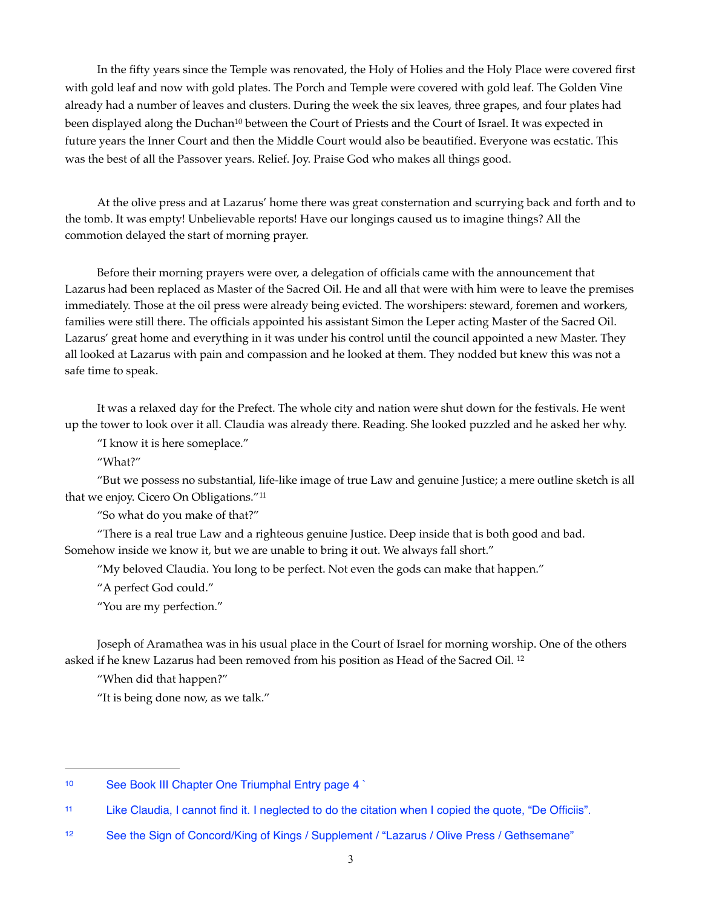<span id="page-2-3"></span>In the fifty years since the Temple was renovated, the Holy of Holies and the Holy Place were covered first with gold leaf and now with gold plates. The Porch and Temple were covered with gold leaf. The Golden Vine already had a number of leaves and clusters. During the week the six leaves, three grapes, and four plates had been displayed along the Duchan<sup>[10](#page-2-0)</sup> between the Court of Priests and the Court of Israel. It was expected in future years the Inner Court and then the Middle Court would also be beautified. Everyone was ecstatic. This was the best of all the Passover years. Relief. Joy. Praise God who makes all things good.

At the olive press and at Lazarus' home there was great consternation and scurrying back and forth and to the tomb. It was empty! Unbelievable reports! Have our longings caused us to imagine things? All the commotion delayed the start of morning prayer.

Before their morning prayers were over, a delegation of officials came with the announcement that Lazarus had been replaced as Master of the Sacred Oil. He and all that were with him were to leave the premises immediately. Those at the oil press were already being evicted. The worshipers: steward, foremen and workers, families were still there. The officials appointed his assistant Simon the Leper acting Master of the Sacred Oil. Lazarus' great home and everything in it was under his control until the council appointed a new Master. They all looked at Lazarus with pain and compassion and he looked at them. They nodded but knew this was not a safe time to speak.

It was a relaxed day for the Prefect. The whole city and nation were shut down for the festivals. He went up the tower to look over it all. Claudia was already there. Reading. She looked puzzled and he asked her why.

"I know it is here someplace."

"What?"

"But we possess no substantial, life-like image of true Law and genuine Justice; a mere outline sketch is all that we enjoy. Cicero On Obligations.["11](#page-2-1)

<span id="page-2-4"></span>"So what do you make of that?"

"There is a real true Law and a righteous genuine Justice. Deep inside that is both good and bad. Somehow inside we know it, but we are unable to bring it out. We always fall short."

"My beloved Claudia. You long to be perfect. Not even the gods can make that happen."

"A perfect God could."

"You are my perfection."

Joseph of Aramathea was in his usual place in the Court of Israel for morning worship. One of the others asked if he knew Lazarus had been removed from his position as Head of the Sacred Oil. [12](#page-2-2)

<span id="page-2-5"></span>"When did that happen?"

"It is being done now, as we talk."

<span id="page-2-0"></span>[<sup>10</sup>](#page-2-3) See Book III Chapter One Triumphal Entry page 4

<span id="page-2-1"></span>Like Claudia, I cannot find it. I neglected to do the citation when I copied the quote, "De Officiis". [11](#page-2-4)

<span id="page-2-2"></span><sup>&</sup>lt;sup>[12](#page-2-5)</sup> See the Sign of Concord/King of Kings / Supplement / "Lazarus / Olive Press / Gethsemane"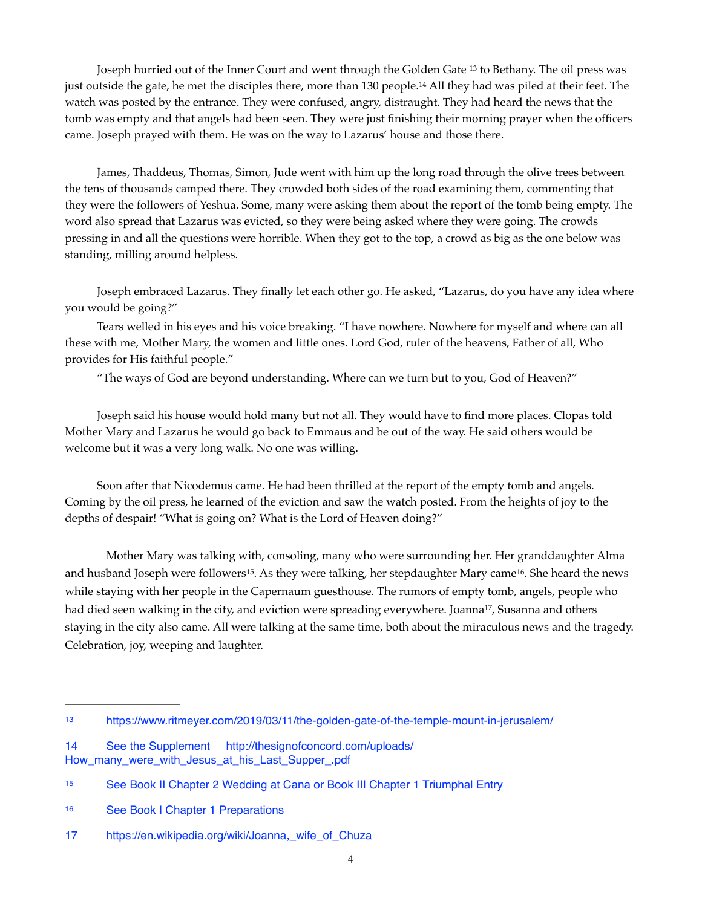<span id="page-3-6"></span><span id="page-3-5"></span>Joseph hurried out of the Inner Court and went through the Golden Gate <sup>[13](#page-3-0)</sup> to Bethany. The oil press was just outside the gate, he met the disciples there, more than 130 people[.](#page-3-1)<sup>[14](#page-3-1)</sup> All they had was piled at their feet. The watch was posted by the entrance. They were confused, angry, distraught. They had heard the news that the tomb was empty and that angels had been seen. They were just finishing their morning prayer when the officers came. Joseph prayed with them. He was on the way to Lazarus' house and those there.

James, Thaddeus, Thomas, Simon, Jude went with him up the long road through the olive trees between the tens of thousands camped there. They crowded both sides of the road examining them, commenting that they were the followers of Yeshua. Some, many were asking them about the report of the tomb being empty. The word also spread that Lazarus was evicted, so they were being asked where they were going. The crowds pressing in and all the questions were horrible. When they got to the top, a crowd as big as the one below was standing, milling around helpless.

Joseph embraced Lazarus. They finally let each other go. He asked, "Lazarus, do you have any idea where you would be going?"

 Tears welled in his eyes and his voice breaking. "I have nowhere. Nowhere for myself and where can all these with me, Mother Mary, the women and little ones. Lord God, ruler of the heavens, Father of all, Who provides for His faithful people."

"The ways of God are beyond understanding. Where can we turn but to you, God of Heaven?"

Joseph said his house would hold many but not all. They would have to find more places. Clopas told Mother Mary and Lazarus he would go back to Emmaus and be out of the way. He said others would be welcome but it was a very long walk. No one was willing.

Soon after that Nicodemus came. He had been thrilled at the report of the empty tomb and angels. Coming by the oil press, he learned of the eviction and saw the watch posted. From the heights of joy to the depths of despair! "What is going on? What is the Lord of Heaven doing?"

<span id="page-3-9"></span><span id="page-3-8"></span><span id="page-3-7"></span>Mother Mary was talking with, consoling, many who were surrounding her. Her granddaughter Alma and husband Joseph were followers<sup>[15](#page-3-2)</sup>. As they were talking, her stepdaughter Mary came<sup>16</sup>. She heard the news while staying with her people in the Capernaum guesthouse. The rumors of empty tomb, angels, people who had died seen walking in the city, and eviction were spreading everywhere. Joanna<sup>[17](#page-3-4)</sup>, Susanna and others staying in the city also came. All were talking at the same time, both about the miraculous news and the tragedy. Celebration, joy, weeping and laughter.

<span id="page-3-0"></span><https://www.ritmeyer.com/2019/03/11/the-golden-gate-of-the-temple-mount-in-jerusalem/>[13](#page-3-5)

<span id="page-3-1"></span>[<sup>14</sup>](#page-3-6) [See the Supplement http://thesignofconcord.com/uploads/](http://thesignofconcord.com/uploads/How_many_were_with_Jesus_at_his_Last_Supper_.pdf) [How\\_many\\_were\\_with\\_Jesus\\_at\\_his\\_Last\\_Supper\\_.pdf](http://thesignofconcord.com/uploads/How_many_were_with_Jesus_at_his_Last_Supper_.pdf) 

<span id="page-3-2"></span><sup>&</sup>lt;sup>[15](#page-3-7)</sup> See Book II Chapter 2 Wedding at Cana or Book III Chapter 1 Triumphal Entry

<span id="page-3-3"></span>[<sup>16</sup>](#page-3-8) See Book | Chapter 1 Preparations

<span id="page-3-4"></span>[<sup>17</sup>](#page-3-9) [https://en.wikipedia.org/wiki/Joanna,\\_wife\\_of\\_Chuza](https://en.wikipedia.org/wiki/Joanna,_wife_of_Chuza)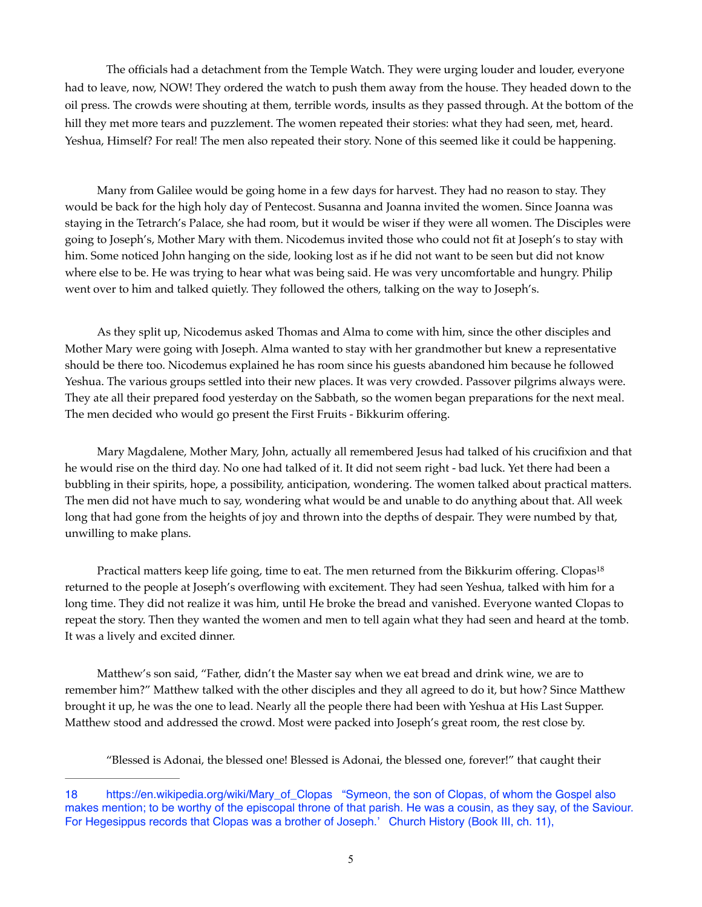The officials had a detachment from the Temple Watch. They were urging louder and louder, everyone had to leave, now, NOW! They ordered the watch to push them away from the house. They headed down to the oil press. The crowds were shouting at them, terrible words, insults as they passed through. At the bottom of the hill they met more tears and puzzlement. The women repeated their stories: what they had seen, met, heard. Yeshua, Himself? For real! The men also repeated their story. None of this seemed like it could be happening.

Many from Galilee would be going home in a few days for harvest. They had no reason to stay. They would be back for the high holy day of Pentecost. Susanna and Joanna invited the women. Since Joanna was staying in the Tetrarch's Palace, she had room, but it would be wiser if they were all women. The Disciples were going to Joseph's, Mother Mary with them. Nicodemus invited those who could not fit at Joseph's to stay with him. Some noticed John hanging on the side, looking lost as if he did not want to be seen but did not know where else to be. He was trying to hear what was being said. He was very uncomfortable and hungry. Philip went over to him and talked quietly. They followed the others, talking on the way to Joseph's.

As they split up, Nicodemus asked Thomas and Alma to come with him, since the other disciples and Mother Mary were going with Joseph. Alma wanted to stay with her grandmother but knew a representative should be there too. Nicodemus explained he has room since his guests abandoned him because he followed Yeshua. The various groups settled into their new places. It was very crowded. Passover pilgrims always were. They ate all their prepared food yesterday on the Sabbath, so the women began preparations for the next meal. The men decided who would go present the First Fruits - Bikkurim offering.

Mary Magdalene, Mother Mary, John, actually all remembered Jesus had talked of his crucifixion and that he would rise on the third day. No one had talked of it. It did not seem right - bad luck. Yet there had been a bubbling in their spirits, hope, a possibility, anticipation, wondering. The women talked about practical matters. The men did not have much to say, wondering what would be and unable to do anything about that. All week long that had gone from the heights of joy and thrown into the depths of despair. They were numbed by that, unwilling to make plans.

Practical matters keep life going, time to eat. The men returned from the Bikkurim offering. Clopas<sup>18</sup> returned to the people at Joseph's overflowing with excitement. They had seen Yeshua, talked with him for a long time. They did not realize it was him, until He broke the bread and vanished. Everyone wanted Clopas to repeat the story. Then they wanted the women and men to tell again what they had seen and heard at the tomb. It was a lively and excited dinner.

Matthew's son said, "Father, didn't the Master say when we eat bread and drink wine, we are to remember him?" Matthew talked with the other disciples and they all agreed to do it, but how? Since Matthew brought it up, he was the one to lead. Nearly all the people there had been with Yeshua at His Last Supper. Matthew stood and addressed the crowd. Most were packed into Joseph's great room, the rest close by.

<span id="page-4-1"></span>"Blessed is Adonai, the blessed one! Blessed is Adonai, the blessed one, forever!" that caught their

<span id="page-4-0"></span>[<sup>18</sup>](#page-4-1) [https://en.wikipedia.org/wiki/Mary\\_of\\_Clopas](https://en.wikipedia.org/wiki/Mary_of_Clopas) "Symeon, the son of Clopas, of whom the Gospel also makes mention; to be worthy of the episcopal throne of that parish. He was a cousin, as they say, of the Saviour. For Hegesippus records that Clopas was a brother of Joseph.' [Church History](https://en.wikipedia.org/wiki/Church_History_(Eusebius)) (Book III, ch. 11),